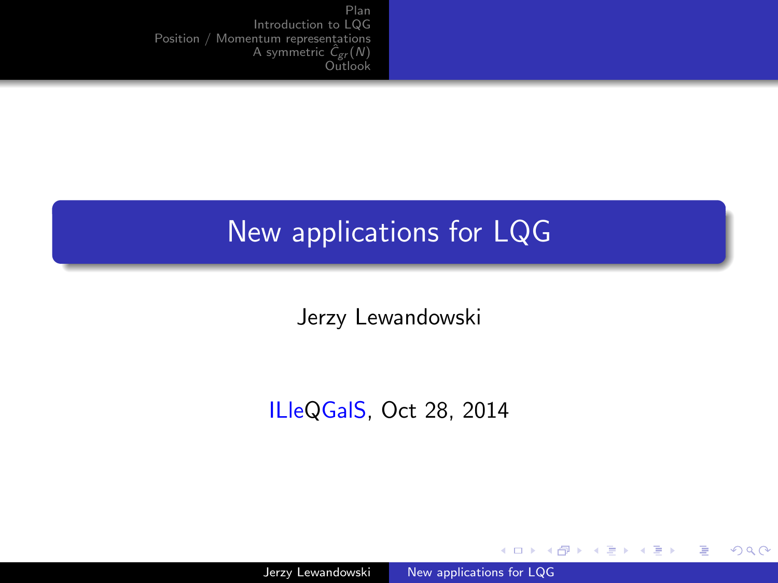### <span id="page-0-0"></span>New applications for LQG

Jerzy Lewandowski

#### ILleQGalS, Oct 28, 2014

4 0 8

→ 伊 ▶ → 手

 $299$ 

∍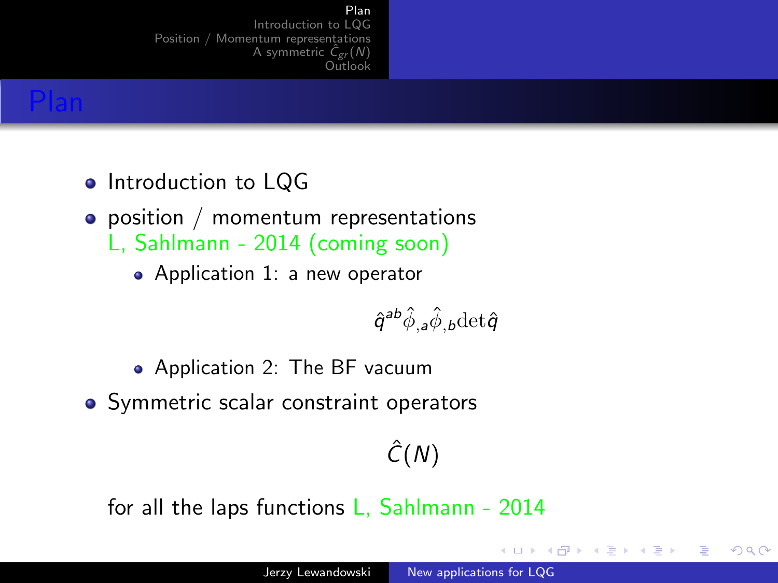#### Plan

[Introduction to LQG](#page-2-0) [Position / Momentum representations](#page-7-0) [A symmetric](#page-15-0)  $\hat{C}_{\text{gr}}(N)$ [Outlook](#page-22-0)

### <span id="page-1-0"></span>Plan

- Introduction to LQG
- position / momentum representations L, Sahlmann - 2014 (coming soon)
	- Application 1: a new operator

$$
\hat{q}^{ab}\hat{\phi}_{,a}\hat{\phi}_{,b}\text{det}\hat{q}
$$

- Application 2: The BF vacuum
- Symmetric scalar constraint operators

# $\hat{C}(N)$

for all the laps functions L, Sahlmann - 2014

4 17 18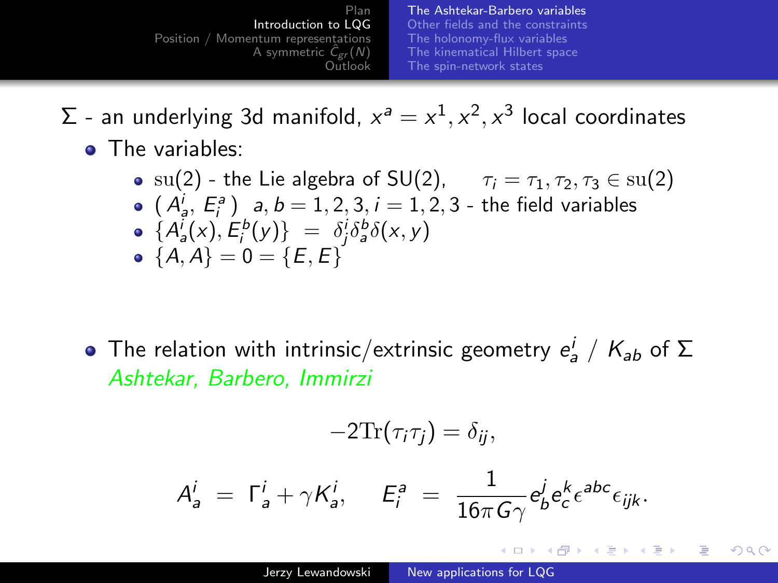<span id="page-2-0"></span>Plan [Introduction to LQG](#page-2-0) [Position / Momentum representations](#page-7-0) [A symmetric](#page-15-0)  $\hat{C}_{\text{gr}}(N)$ [Outlook](#page-22-0) [The Ashtekar-Barbero variables](#page-2-0) [Other fields and the constraints](#page-3-0) [The holonomy-flux variables](#page-4-0) [The kinematical Hilbert space](#page-5-0) [The spin-network states](#page-6-0)

- $\Sigma$  an underlying 3d manifold,  $x^a = x^1, x^2, x^3$  local coordinates
	- The variables:
		- su(2) the Lie algebra of SU(2),  $\tau_i = \tau_1, \tau_2, \tau_3 \in {\rm su}(2)$  $(A_{a}^{i}, E_{i}^{a})$  a,  $b = 1, 2, 3, i = 1, 2, 3$  - the field variables  ${A'_a(x), E^b_i(y)} = \delta^i_j \delta^b_a \delta(x, y)$ •  ${A, A} = 0 = {E, E}$

The relation with intrinsic/extrinsic geometry  $e^i_a$  /  $K_{ab}$  of  $\Sigma$ Ashtekar, Barbero, Immirzi

$$
-2\text{Tr}(\tau_i\tau_j)=\delta_{ij},
$$

$$
A^i_a = \Gamma^i_a + \gamma K^i_a, \quad E^a_i = \frac{1}{16\pi G\gamma} e^j_b e^k_c e^{abc} \epsilon_{ijk}.
$$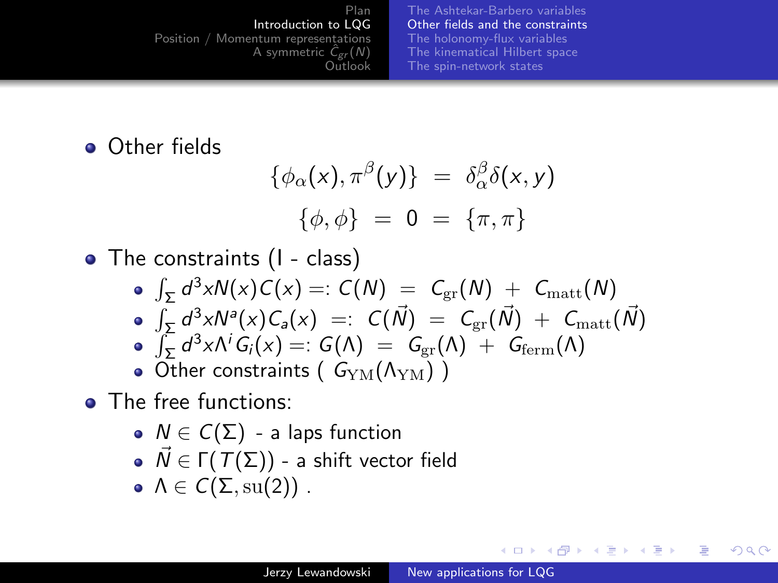[The Ashtekar-Barbero variables](#page-2-0) [Other fields and the constraints](#page-3-0) [The holonomy-flux variables](#page-4-0) [The kinematical Hilbert space](#page-5-0) [The spin-network states](#page-6-0)

<span id="page-3-0"></span>**•** Other fields

$$
\{\phi_{\alpha}(x), \pi^{\beta}(y)\} = \delta_{\alpha}^{\beta} \delta(x, y)
$$

$$
\{\phi, \phi\} = 0 = \{\pi, \pi\}
$$

• The constraints (1 - class)

$$
\oint_{\Sigma} d^3 x N(x) C(x) =: C(N) = C_{\text{gr}}(N) + C_{\text{matt}}(N)
$$

- $\int_{\mathcal{F}} d^3x N^a(x) \mathcal{C}_a(x) =: \; \mathcal{C}(\vec{N}) \; = \; \mathcal{C}_{\rm gr}(\vec{N}) \; + \; \mathcal{C}_{\rm matt}(\vec{N})$
- $\int_{\Sigma} d^3x \Lambda^i G_i(x) =: G(\Lambda) = G_{\rm gr}(\Lambda) + G_{\rm ferm}(\Lambda)$
- Other constraints ( $G_{\text{YM}}(\Lambda_{\text{YM}})$ )
- The free functions:
	- $N \in C(\Sigma)$  a laps function
	- $\vec{N} \in \Gamma(T(\Sigma))$  a shift vector field
	- $\Lambda \in C(\Sigma, \text{su}(2))$ .

4 17 18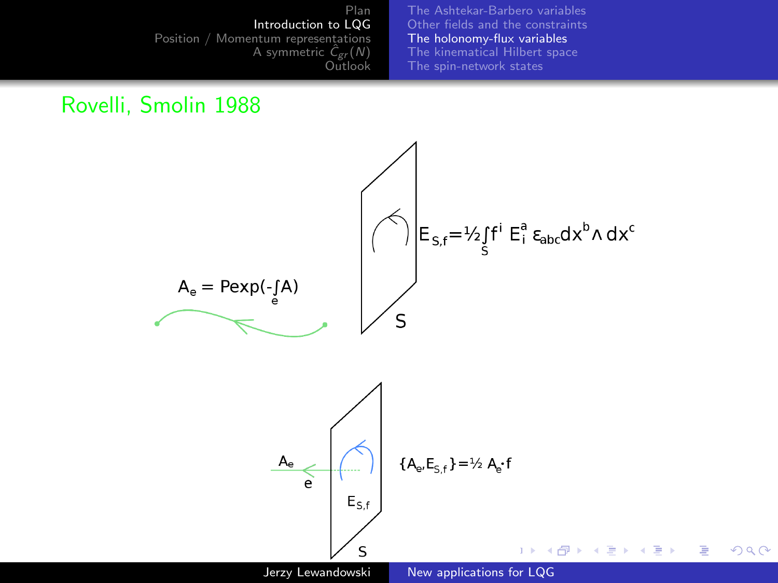[The Ashtekar-Barbero variables](#page-2-0) [Other fields and the constraints](#page-3-0) [The holonomy-flux variables](#page-4-0) [The kinematical Hilbert space](#page-5-0) [The spin-network states](#page-6-0)

#### <span id="page-4-0"></span>Rovelli, Smolin 1988

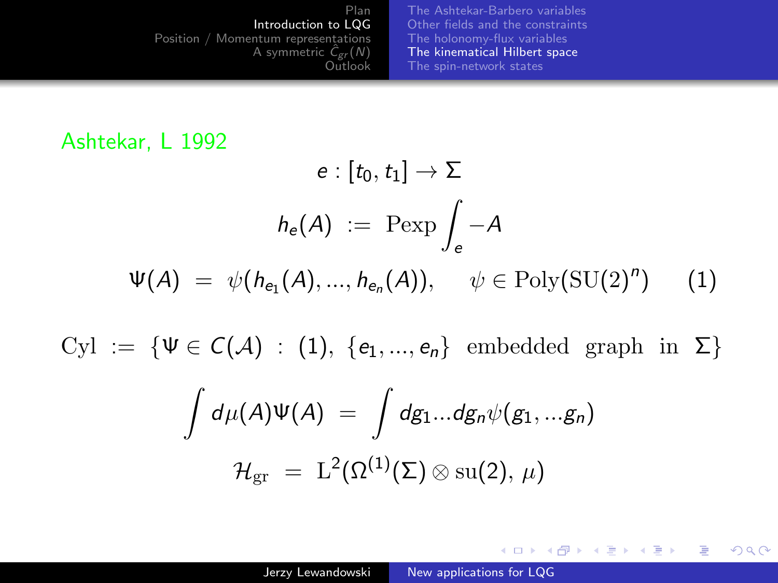[The Ashtekar-Barbero variables](#page-2-0) [Other fields and the constraints](#page-3-0) [The holonomy-flux variables](#page-4-0) [The kinematical Hilbert space](#page-5-0) [The spin-network states](#page-6-0)

#### <span id="page-5-0"></span>Ashtekar, L 1992

$$
e: [t_0, t_1] \to \Sigma
$$

$$
h_e(A) := \text{Pexp} \int_e -A
$$

$$
\Psi(A) = \psi(h_{e_1}(A), ..., h_{e_n}(A)), \quad \psi \in \text{Poly}(\text{SU}(2)^n) \tag{1}
$$

Cyl := { $\Psi \in C(\mathcal{A})$  : [\(1\)](#page-5-1), { $e_1, ..., e_n$ } embedded graph in  $\Sigma$ }

<span id="page-5-1"></span>
$$
\int d\mu(A)\Psi(A) = \int dg_1...dg_n\psi(g_1,...g_n)
$$

$$
\mathcal{H}_{\rm gr} = \mathcal{L}^2(\Omega^{(1)}(\Sigma)\otimes \text{su}(2), \mu)
$$

イロメ イ母メ イヨメ イヨメ

 $QQ$ 

э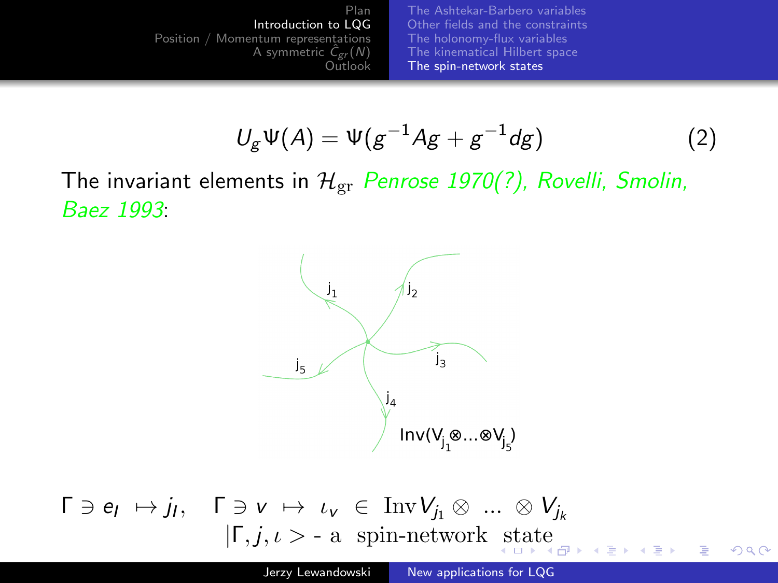[The Ashtekar-Barbero variables](#page-2-0) [Other fields and the constraints](#page-3-0) [The holonomy-flux variables](#page-4-0) [The kinematical Hilbert space](#page-5-0) [The spin-network states](#page-6-0)

$$
U_g \Psi(A) = \Psi(g^{-1}Ag + g^{-1}dg)
$$
 (2)

<span id="page-6-0"></span>The invariant elements in  $\mathcal{H}_{gr}$  Penrose 1970(?), Rovelli, Smolin, Baez 1993:



 $\Gamma \ni e_l \mapsto j_l$ ,  $\Gamma \ni v \mapsto \iota_v \in \text{Inv}V_{j_1} \otimes ... \otimes V_{j_k}$  $|\Gamma, j, \iota\rangle$  $|\Gamma, j, \iota\rangle$  - a [s](#page-5-0)pin-network st[at](#page-7-0)e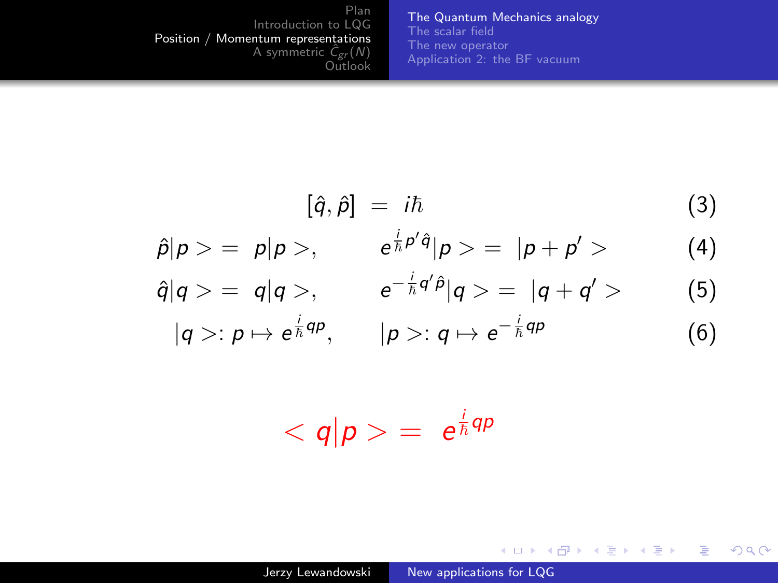[The Quantum Mechanics analogy](#page-7-0) [The scalar field](#page-8-0) [The new operator](#page-11-0) [Application 2: the BF vacuum](#page-14-0)

$$
[\hat{q}, \hat{p}] = i\hbar \tag{3}
$$

メロメ メタメ メミメ メミメ

目

 $299$ 

<span id="page-7-0"></span>
$$
\hat{p}|p\rangle = p|p\rangle, \qquad e^{\frac{i}{\hbar}p'\hat{q}}|p\rangle = |p+p'\rangle \qquad (4)
$$

$$
\hat{q}|q\rangle = q|q\rangle, \qquad e^{-\frac{i}{\hbar}q'\hat{p}}|q\rangle = |q+q'\rangle
$$
 (5)

$$
|q\rangle: p \mapsto e^{\frac{i}{\hbar}qp}, \qquad |p\rangle: q \mapsto e^{-\frac{i}{\hbar}qp} \qquad (6)
$$

$$
\langle q|p\rangle = e^{\frac{i}{\hbar}qp}
$$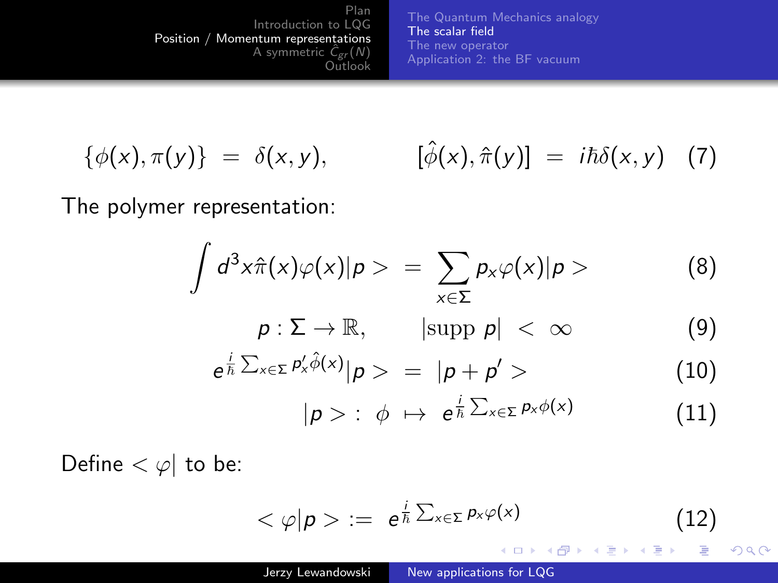[The Quantum Mechanics analogy](#page-7-0) [The scalar field](#page-8-0) [The new operator](#page-11-0) [Application 2: the BF vacuum](#page-14-0)

<span id="page-8-0"></span>
$$
\{\phi(x),\pi(y)\} = \delta(x,y), \qquad [\hat{\phi}(x),\hat{\pi}(y)] = i\hbar\delta(x,y) \quad (7)
$$

The polymer representation:

$$
\int d^3x \hat{\pi}(x)\varphi(x)|p\rangle = \sum_{x\in\Sigma} p_x \varphi(x)|p\rangle \qquad (8)
$$

$$
\rho: \Sigma \to \mathbb{R}, \qquad |\text{supp }\rho| < \infty \tag{9}
$$

$$
e^{\frac{i}{\hbar}\sum_{x\in\Sigma}p'_x\hat{\phi}(x)}|p\rangle = |p+p'\rangle \qquad (10)
$$

$$
|p\rangle: \phi \mapsto e^{\frac{i}{\hbar}\sum_{x\in \Sigma}p_x\phi(x)} \qquad (11)
$$

Define  $< \varphi$  to be:

$$
\langle \varphi | p \rangle := e^{\frac{i}{\hbar} \sum_{x \in \Sigma} p_x \varphi(x)} \tag{12}
$$

イロト イ部 トイ君 トイ君 ト

 $299$ 

э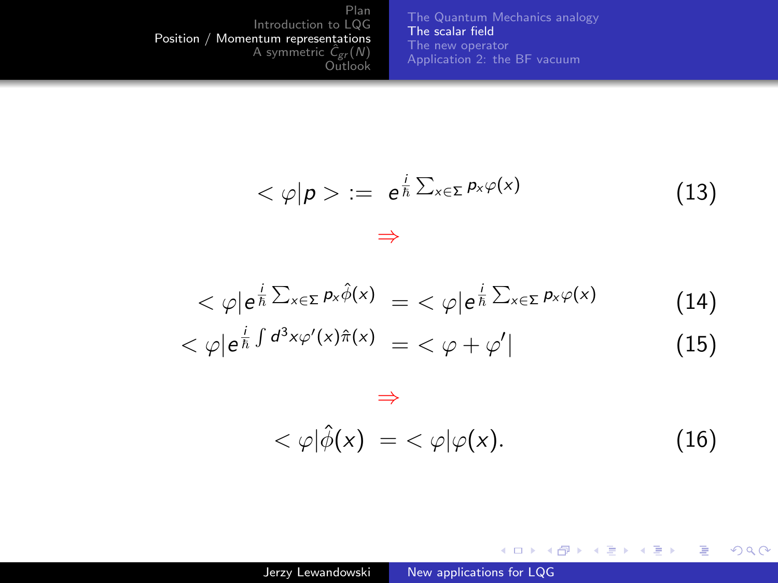[The Quantum Mechanics analogy](#page-7-0) [The scalar field](#page-8-0) [The new operator](#page-11-0) [Application 2: the BF vacuum](#page-14-0)

$$
<\varphi|p> := e^{\frac{i}{\hbar}\sum_{x\in\Sigma}p_x\varphi(x)}
$$
 (13)

$$
\langle \varphi | e^{\frac{i}{\hbar} \sum_{x \in \Sigma} p_x \hat{\phi}(x)} = \langle \varphi | e^{\frac{i}{\hbar} \sum_{x \in \Sigma} p_x \varphi(x)} \tag{14}
$$

$$
\langle \varphi | e^{\frac{i}{\hbar} \int d^3x \varphi'(x)\hat{\pi}(x)} \rangle = \langle \varphi + \varphi' | \tag{15}
$$

# $<\varphi|\hat{\phi}(x)| = <\varphi|\varphi(x).$  (16)

メロメ メ部メ メミメ メミメ

目

 $299$ 

⇒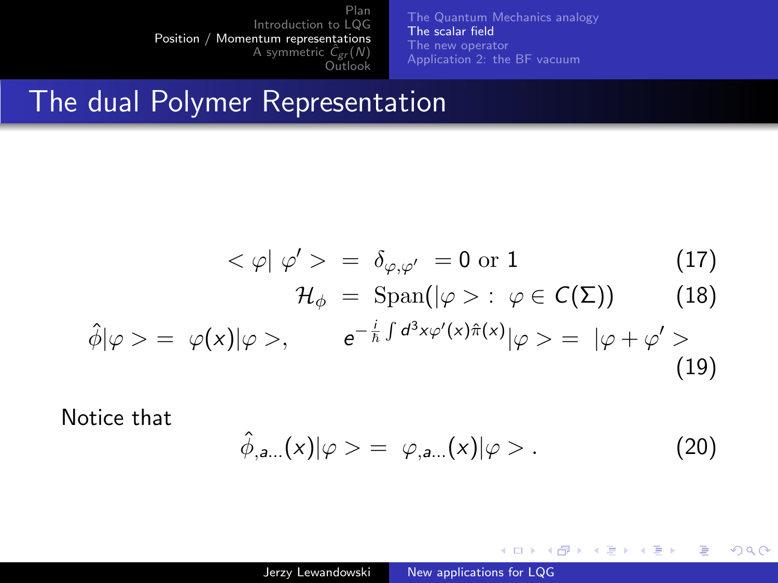[The Quantum Mechanics analogy](#page-7-0) [The scalar field](#page-8-0) [The new operator](#page-11-0) [Application 2: the BF vacuum](#page-14-0)

### The dual Polymer Representation

$$
\langle \varphi | \varphi' \rangle = \delta_{\varphi, \varphi'} = 0 \text{ or } 1 \tag{17}
$$
\n
$$
\mathcal{H}_{\phi} = \text{Span}(|\varphi \rangle : \varphi \in \mathcal{C}(\Sigma) \tag{18}
$$
\n
$$
\hat{\phi} | \varphi \rangle = \varphi(x) | \varphi \rangle, \qquad e^{-\frac{i}{\hbar} \int d^3 x \varphi'(x) \hat{\pi}(x)} | \varphi \rangle = | \varphi + \varphi' \rangle \tag{19}
$$

Notice that

$$
\hat{\phi}_{a...}(x)|\varphi\rangle = \varphi_{a...}(x)|\varphi\rangle. \tag{20}
$$

重

**B** ∍

イロト イ母ト イヨト イ

 $299$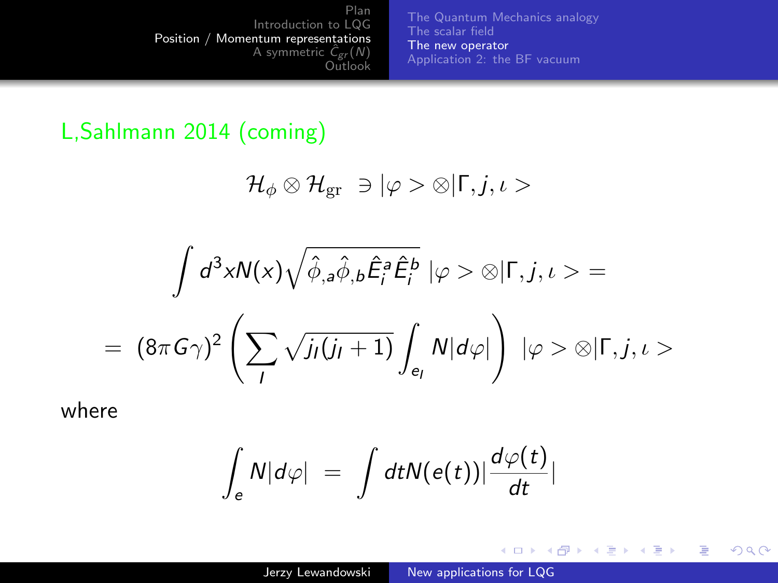[The Quantum Mechanics analogy](#page-7-0) [The scalar field](#page-8-0) [The new operator](#page-11-0) [Application 2: the BF vacuum](#page-14-0)

#### <span id="page-11-0"></span>L,Sahlmann 2014 (coming)

$$
\mathcal{H}_\phi\otimes\mathcal{H}_{\rm gr}\;\ni|\varphi>\otimes|\Gamma,j,\iota>
$$

$$
\int d^3x N(x) \sqrt{\hat{\phi}_{,a}\hat{\phi}_{,b}\hat{E}_i^a \hat{E}_i^b} \, |\varphi \rangle \otimes |\Gamma, j, \iota \rangle =
$$
\n
$$
= (8\pi G\gamma)^2 \left( \sum_l \sqrt{j_l(j_l+1)} \int_{e_l} N|d\varphi| \right) \, |\varphi \rangle \otimes |\Gamma, j, \iota \rangle
$$

where

$$
\int_{e} N|d\varphi| = \int dt N(e(t)) \frac{d\varphi(t)}{dt}
$$

イロト イ部 トイ君 トイ君 ト

E

 $299$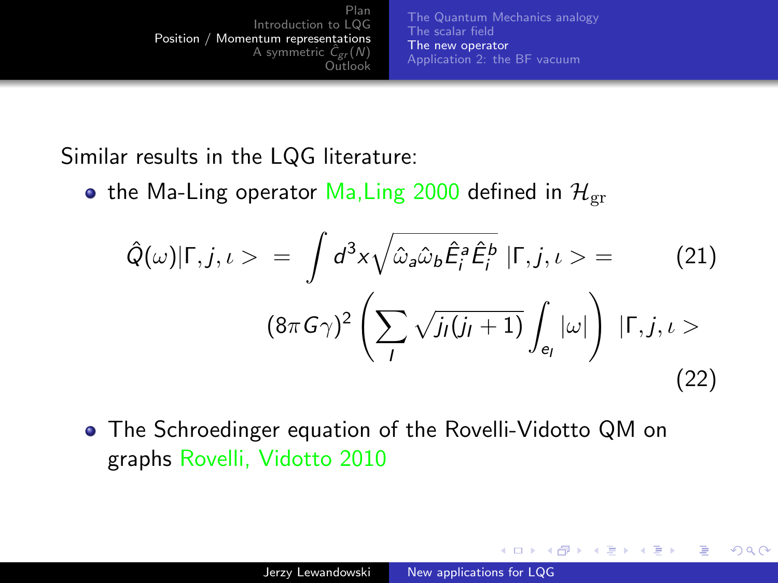[The Quantum Mechanics analogy](#page-7-0) [The scalar field](#page-8-0) [The new operator](#page-11-0) [Application 2: the BF vacuum](#page-14-0)

Similar results in the LQG literature:

• the Ma-Ling operator Ma, Ling 2000 defined in  $\mathcal{H}_{\text{or}}$ 

$$
\hat{Q}(\omega)|\Gamma,j,\iota\rangle = \int d^3x \sqrt{\hat{\omega}_a \hat{\omega}_b \hat{E}_i^a \hat{E}_i^b} |\Gamma,j,\iota\rangle = \qquad (21)
$$

$$
(8\pi G\gamma)^2 \left(\sum_l \sqrt{j_l(j_l+1)} \int_{e_l} |\omega|\right) |\Gamma,j,\iota\rangle \qquad (22)
$$

The Schroedinger equation of the Rovelli-Vidotto QM on graphs Rovelli, Vidotto 2010

イロト イ母ト イヨト イ

 $\Omega$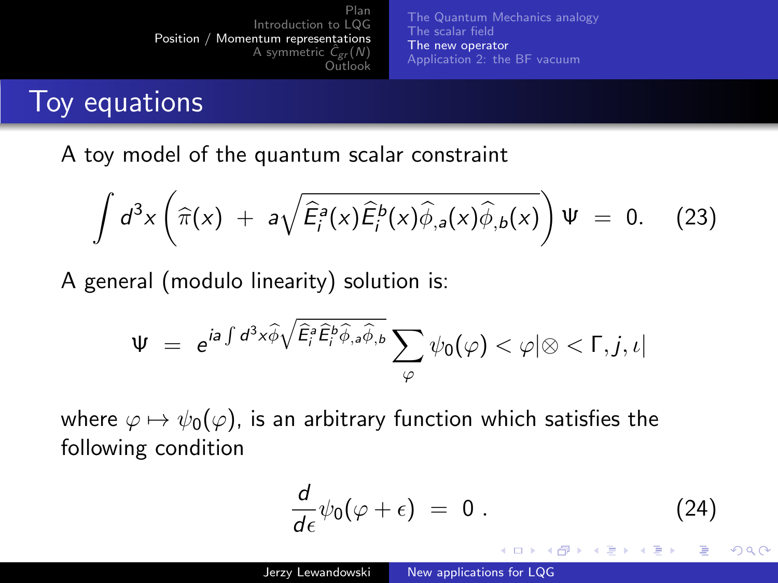[The Quantum Mechanics analogy](#page-7-0) [The scalar field](#page-8-0) [The new operator](#page-11-0) [Application 2: the BF vacuum](#page-14-0)

## Toy equations

A toy model of the quantum scalar constraint

$$
\int d^3x \left(\widehat{\pi}(x) + a\sqrt{\widehat{E}_i^a(x)\widehat{E}_i^b(x)\widehat{\phi}_{,a}(x)\widehat{\phi}_{,b}(x)}\right)\Psi = 0. \quad (23)
$$

A general (modulo linearity) solution is:

$$
\Psi = e^{i\mathbf{a}\int d^3x \widehat{\phi}\sqrt{\widehat{E}_i^{\mathbf{a}}\widehat{E}_i^{\mathbf{b}}\widehat{\phi}_{,\mathbf{a}}\widehat{\phi}_{,\mathbf{b}}}}\sum_{\varphi}\psi_0(\varphi) < \varphi|\otimes\langle \Gamma, j, \iota|
$$

where  $\varphi \mapsto \psi_0(\varphi)$ , is an arbitrary function which satisfies the following condition

$$
\frac{d}{d\epsilon}\psi_0(\varphi+\epsilon) = 0.
$$
 (24)

イロト イ伊 ト イヨ ト イヨ

 $\Omega$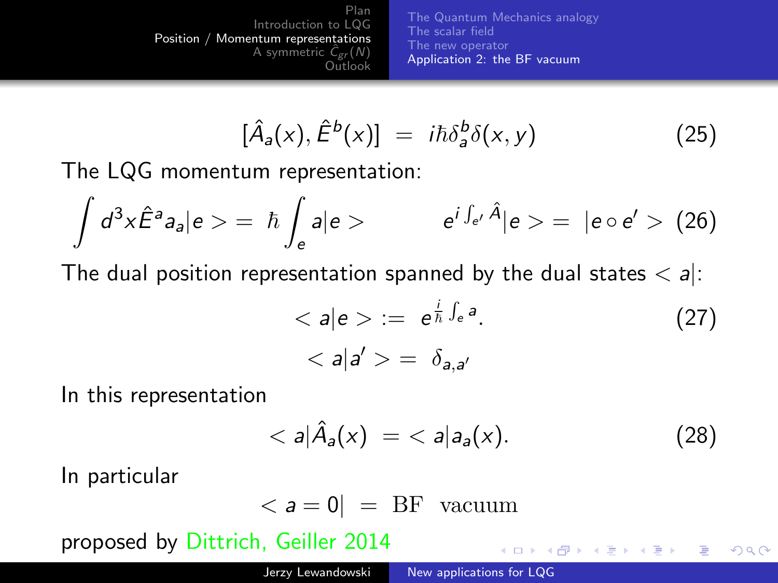[The Quantum Mechanics analogy](#page-7-0) [The scalar field](#page-8-0) [The new operator](#page-11-0) [Application 2: the BF vacuum](#page-14-0)

$$
[\hat{A}_a(x), \hat{E}^b(x)] = i\hbar \delta_a^b \delta(x, y) \tag{25}
$$

<span id="page-14-0"></span>The LQG momentum representation:

$$
\int d^3x \hat{E}^a a_a |e \rangle = \hbar \int_e a|e \rangle \qquad e^{i \int_{e'} \hat{A}} |e \rangle = |e \circ e' \rangle \tag{26}
$$

The dual position representation spanned by the dual states  $\langle a|$ :

$$
\langle a|e\rangle := e^{\frac{i}{\hbar}\int_e a}.\tag{27}
$$
\n
$$
\langle a|a'\rangle = \delta_{a,a'}
$$

In this representation

$$
\langle a|\hat{A}_a(x)\rangle = \langle a|a_a(x). \tag{28}
$$

メロメ メタメ メミメ

 $QQ$ 

In particular

$$
\langle a = 0 | = BF \text{ vacuum}
$$

proposed by Dittrich, Geiller 2014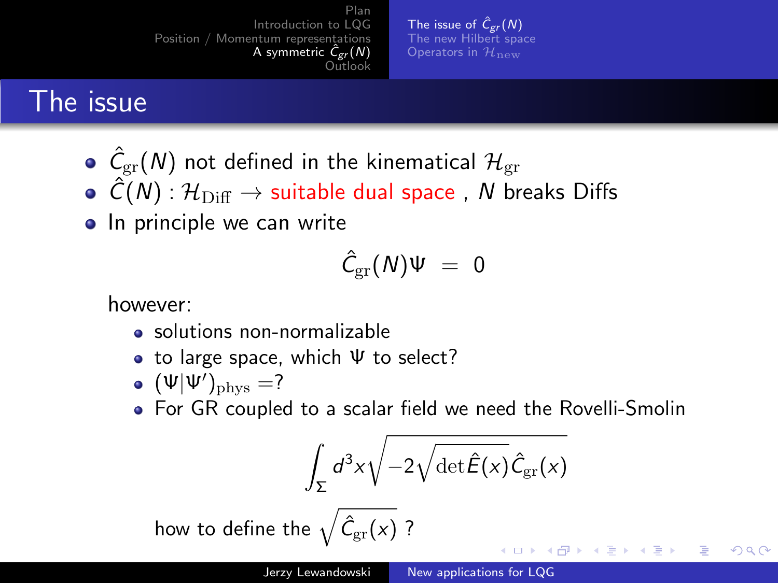[The issue of](#page-15-0)  $\hat{C}_{gr}(N)$ [The new Hilbert space](#page-18-0) [Operators in](#page-19-0)  $\mathcal{H}_{\mathbf{n}\mathbf{e}\mathbf{w}}$ 

# <span id="page-15-0"></span>The issue

- $\hat{\mathcal{C}}_{\mathrm{gr}}(\mathcal{N})$  not defined in the kinematical  $\mathcal{H}_{\mathrm{gr}}$
- $\hat{C}(N)$  :  $\mathcal{H}_{\text{Diff}} \to$  suitable dual space, N breaks Diffs
- In principle we can write

$$
\hat{C}_{\rm gr}(N)\Psi\ =\ 0
$$

however:

- solutions non-normalizable
- to large space, which  $\Psi$  to select?
- $(\Psi|\Psi')_{\rm phys} = ?$
- For GR coupled to a scalar field we need the Rovelli-Smolin

$$
\int_{\Sigma} d^3x \sqrt{-2\sqrt{\det \hat{E}(x)}\hat{C}_{\mathrm{gr}}(x)}
$$

**← ロ ▶ → r 円** 

つくへ

how to define the  $\sqrt{\hat{\mathcal{C}}_{\mathrm{gr}}(x)}$  ?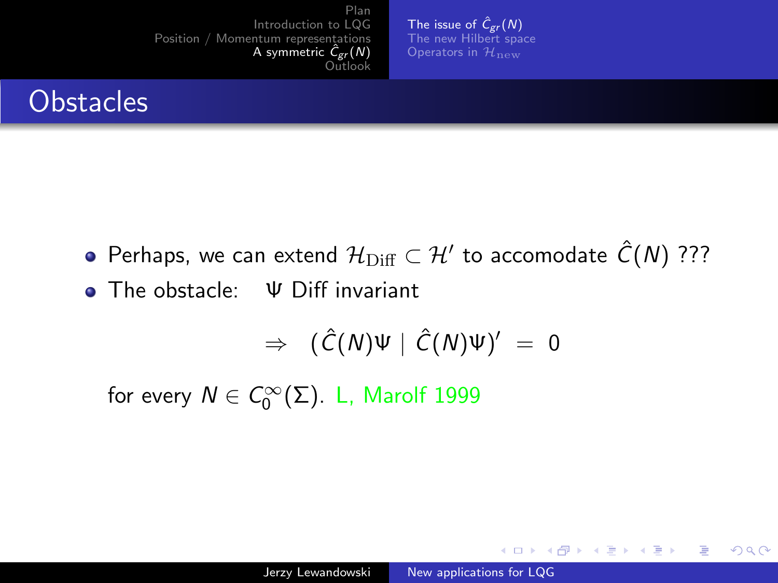**[The issue of](#page-15-0)**  $\hat{C}_{gr}(N)$ <br>[The new Hilbert space](#page-18-0) [Operators in](#page-19-0)  $\mathcal{H}_{\text{new}}$ 

# <span id="page-16-0"></span>**Obstacles**

- Perhaps, we can extend  $\mathcal{H}_{{\rm Diff}}\subset\mathcal{H}'$  to accomodate  $\hat{\mathcal{C}}(\mathcal{N})$  ???
- The obstacle: Ψ Diff invariant

$$
\Rightarrow \ (\hat{C}(N)\Psi \mid \hat{C}(N)\Psi)' = 0
$$

for every  $N \in C_0^{\infty}(\Sigma)$ . L, Marolf 1999

**K ロ ▶ K 何 ▶ K ヨ ▶** 

 $\Omega$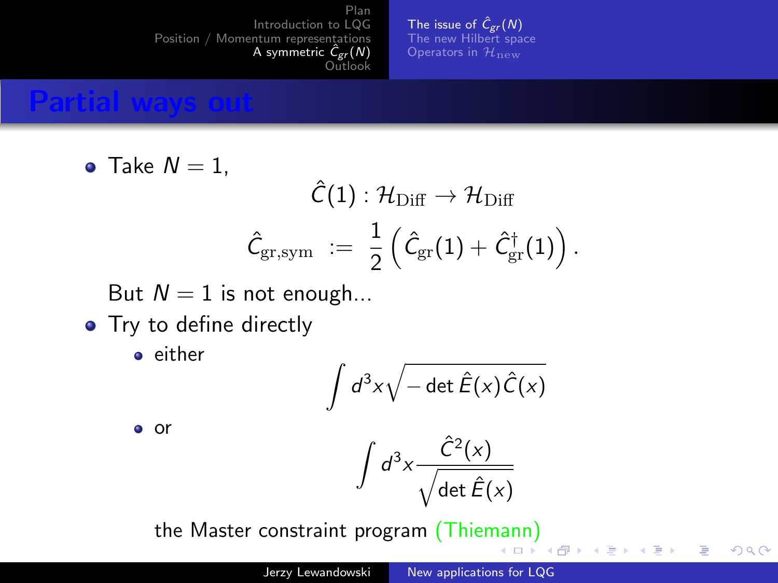**[The issue of](#page-15-0)**  $\hat{C}_{gr}(N)$ <br>[The new Hilbert space](#page-18-0) [Operators in](#page-19-0)  $\mathcal{H}_{\text{new}}$ 

#### Partial ways out

 $\bullet$ 

Take 
$$
N = 1
$$
,  
\n
$$
\hat{C}(1) : \mathcal{H}_{\text{Diff}} \to \mathcal{H}_{\text{Diff}}
$$
\n
$$
\hat{C}_{\text{gr,sym}} \ := \ \frac{1}{2} \left( \hat{C}_{\text{gr}}(1) + \hat{C}_{\text{gr}}^{\dagger}(1) \right).
$$

But  $N = 1$  is not enough...

• Try to define directly

• either

$$
\int d^3x \sqrt{-\det \hat{E}(x)\hat{C}(x)}
$$

or

$$
\int d^3x \frac{\hat{C}^2(x)}{\sqrt{\det \hat{E}(x)}}
$$

( □ ) ( 何 )

 $2990$ 

э

→ 手下

 $\sim$ 

the Master constraint program (Thie[man](#page-16-0)[n\)](#page-18-0)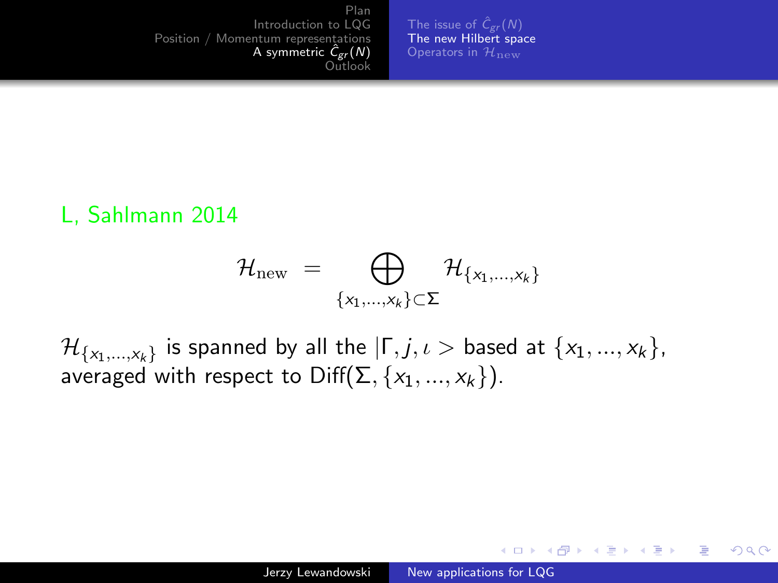[The issue of](#page-15-0)  $\hat{C}_{gr}(N)$ [The new Hilbert space](#page-18-0) [Operators in](#page-19-0)  $\mathcal{H}_{\text{new}}$ 

#### <span id="page-18-0"></span>L, Sahlmann 2014

$$
\mathcal{H}_{\text{new}}~=~\bigoplus_{\{x_1,\dots,x_k\}\subset \Sigma}\mathcal{H}_{\{x_1,\dots,x_k\}}
$$

 $\mathcal{H}_{\{\mathsf{x}_1,...,\mathsf{x}_k\}}$  is spanned by all the  $|\mathsf{\Gamma},j,\iota>$  based at  $\{\mathsf{x}_1,...,\mathsf{x}_k\},$ averaged with respect to  $Diff(\Sigma, \{x_1, ..., x_k\})$ .

4 0 8

 $\rightarrow$   $\oplus$   $\rightarrow$   $\rightarrow$   $\oplus$   $\rightarrow$ 

 $QQ$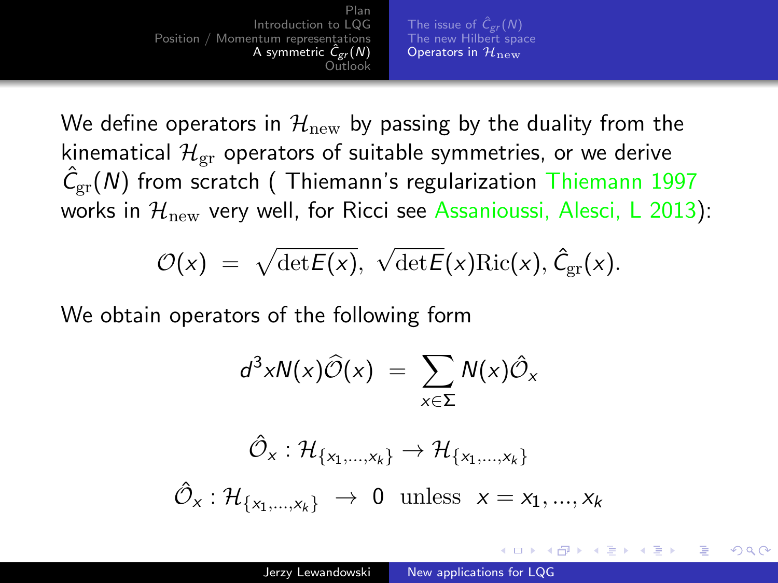[The issue of](#page-15-0)  $\hat{C}_{gr}(N)$ [The new Hilbert space](#page-18-0) [Operators in](#page-19-0)  $\mathcal{H}_{\text{new}}$ 

<span id="page-19-0"></span>We define operators in  $\mathcal{H}_{\text{new}}$  by passing by the duality from the kinematical  $\mathcal{H}_{gr}$  operators of suitable symmetries, or we derive  $\hat{C}_{\mathrm{gr}}(N)$  from scratch (Thiemann's regularization Thiemann 1997 works in  $\mathcal{H}_{\text{new}}$  very well, for Ricci see Assanioussi, Alesci, L 2013):

$$
\mathcal{O}(x) = \sqrt{\det E(x)}, \sqrt{\det E}(x) \text{Ric}(x), \hat{C}_{\text{gr}}(x).
$$

We obtain operators of the following form

$$
d^3xN(x)\widehat{\mathcal{O}}(x) = \sum_{x\in\Sigma} N(x)\widehat{\mathcal{O}}_x
$$

$$
\hat{\mathcal{O}}_x : \mathcal{H}_{\{x_1,\dots,x_k\}} \to \mathcal{H}_{\{x_1,\dots,x_k\}}
$$

$$
\hat{\mathcal{O}}_x : \mathcal{H}_{\{x_1,\dots,x_k\}} \to 0 \text{ unless } x = x_1,...,x_k
$$

つくへ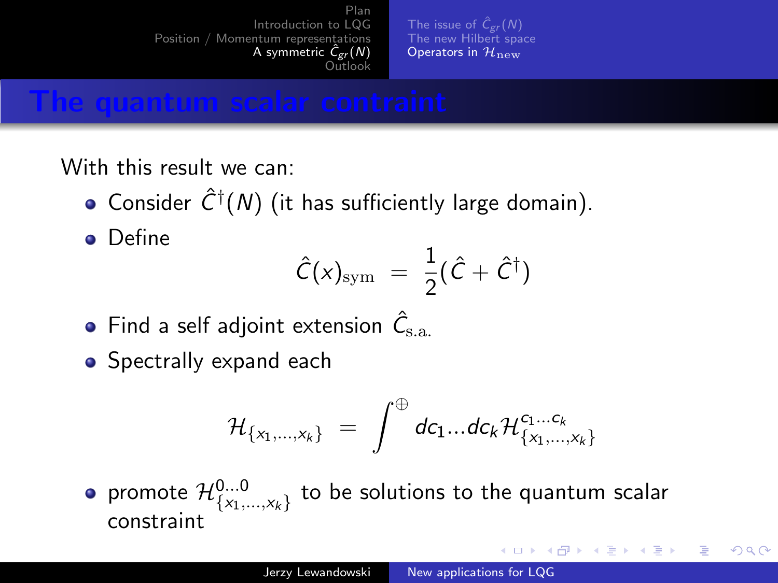[The issue of](#page-15-0)  $\hat{C}_{gr}(N)$ [The new Hilbert space](#page-18-0) [Operators in](#page-19-0)  $\mathcal{H}_{\text{new}}$ 

#### The quantum scalar contraint

With this result we can:

- Consider  $\hat{C}^{\dagger}(N)$  (it has sufficiently large domain).
- **•** Define

$$
\hat{C}(x)_{\rm sym} = \frac{1}{2}(\hat{C} + \hat{C}^{\dagger})
$$

- Find a self adjoint extension  $\hat{\mathcal{C}}_\mathrm{s.a.}$
- Spectrally expand each

$$
\mathcal{H}_{\{x_1,...,x_k\}} = \int^{\oplus} dc_1...dc_k \mathcal{H}_{\{x_1,...,x_k\}}^{c_1...c_k}
$$

promote  $\mathcal{H}^{0...0}_{\{\mathsf{x}_1,...,\mathsf{x}_k\}}$  to be solutions to the quantum scalar constraint

4 17 18

つくへ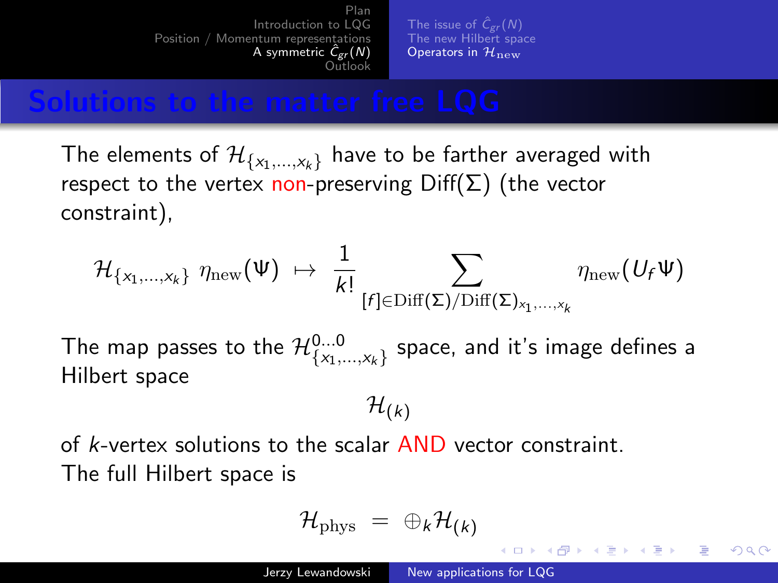[The issue of](#page-15-0)  $\hat{C}_{gr}(N)$ [The new Hilbert space](#page-18-0) [Operators in](#page-19-0)  $\mathcal{H}_{\text{new}}$ 

#### <span id="page-21-0"></span>Solutions to the matter free LQG

The elements of  $\mathcal{H}_{\{x_1,...,x_k\}}$  have to be farther averaged with respect to the vertex non-preserving  $Diff(\Sigma)$  (the vector constraint),

$$
\mathcal{H}_{\{x_1,\ldots,x_k\}}\,\,\eta_{\mathrm{new}}(\Psi)\,\,\mapsto\,\,\frac{1}{k!}\sum_{[f]\in\mathrm{Diff}(\Sigma)/\mathrm{Diff}(\Sigma)_{x_1,\ldots,x_k}}\eta_{\mathrm{new}}(U_f\Psi)
$$

The map passes to the  $\mathcal{H}^{0...0}_{\{x_1,...,x_k\}}$  space, and it's image defines a Hilbert space

 $\mathcal{H}_{(k)}$ 

of k-vertex solutions to the scalar AND vector constraint. The full Hilbert space is

$$
\mathcal{H}_{\text{phys}} = \oplus_k \mathcal{H}_{(k)}
$$

∢ロト ∢母ト ∢目ト ∢目ト

つくへ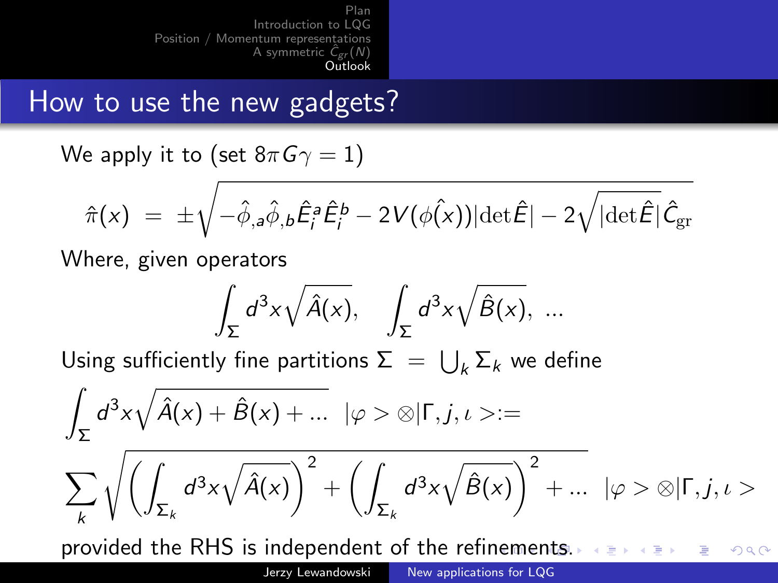# <span id="page-22-0"></span>How to use the new gadgets?

We apply it to (set  $8\pi G\gamma = 1$ )

$$
\hat{\pi}(x) \;=\; \pm \sqrt{-\hat{\phi}_{,a}\hat{\phi}_{,b}\hat{E}_i^a\hat{E}_i^b - 2V(\phi(x))|\text{det}\hat{E}| - 2\sqrt{|\text{det}\hat{E}|}\hat{\mathcal{C}}_{\text{gr}}}
$$

Where, given operators

$$
\int_{\Sigma} d^3x \sqrt{\hat{A}(x)}, \quad \int_{\Sigma} d^3x \sqrt{\hat{B}(x)}, \ \ldots
$$

Using sufficiently fine partitions  $\Sigma~=~\bigcup_{k} \Sigma_{k}$  we define

$$
\int_{\Sigma} d^3x \sqrt{\hat{A}(x) + \hat{B}(x) + \dots} \quad |\varphi > \otimes | \Gamma, j, \iota > :=
$$
\n
$$
\sum_{k} \sqrt{\left(\int_{\Sigma_{k}} d^3x \sqrt{\hat{A}(x)}\right)^2 + \left(\int_{\Sigma_{k}} d^3x \sqrt{\hat{B}(x)}\right)^2 + \dots} \quad |\varphi > \otimes | \Gamma, j, \iota >
$$

provided the RHS is independent of the refi[nem](#page-21-0)[e](#page-23-0)[n](#page-21-0)[ts.](#page-22-0)  $2990$